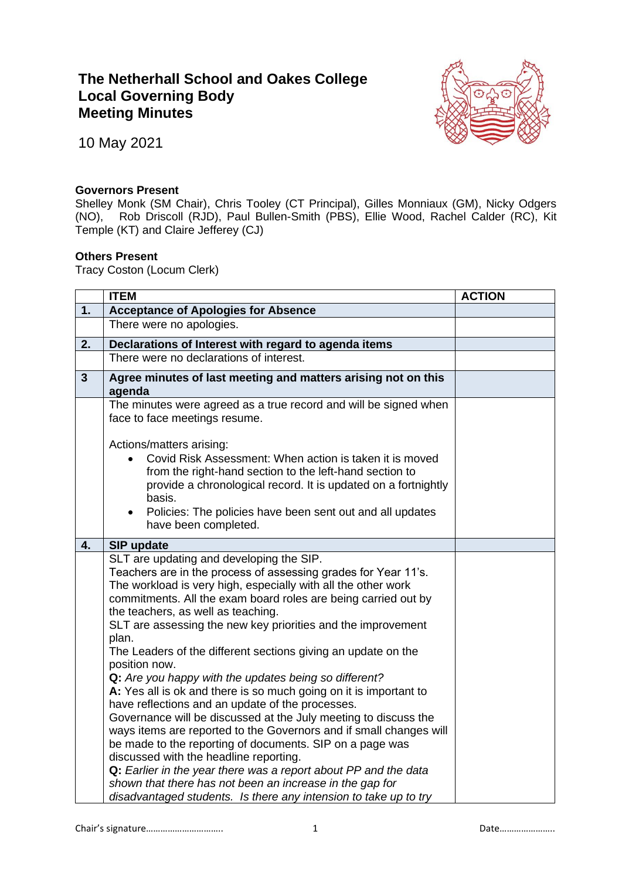## **The Netherhall School and Oakes College Local Governing Body Meeting Minutes**



10 May 2021

## **Governors Present**

Shelley Monk (SM Chair), Chris Tooley (CT Principal), Gilles Monniaux (GM), Nicky Odgers (NO), Rob Driscoll (RJD), Paul Bullen-Smith (PBS), Ellie Wood, Rachel Calder (RC), Kit Temple (KT) and Claire Jefferey (CJ)

## **Others Present**

Tracy Coston (Locum Clerk)

|                         | <b>ITEM</b>                                                                                                                                                                                                                                                                                                                                                                                                                                                                                                     | <b>ACTION</b> |
|-------------------------|-----------------------------------------------------------------------------------------------------------------------------------------------------------------------------------------------------------------------------------------------------------------------------------------------------------------------------------------------------------------------------------------------------------------------------------------------------------------------------------------------------------------|---------------|
| 1.                      | <b>Acceptance of Apologies for Absence</b>                                                                                                                                                                                                                                                                                                                                                                                                                                                                      |               |
|                         | There were no apologies.                                                                                                                                                                                                                                                                                                                                                                                                                                                                                        |               |
| 2.                      | Declarations of Interest with regard to agenda items                                                                                                                                                                                                                                                                                                                                                                                                                                                            |               |
|                         | There were no declarations of interest.                                                                                                                                                                                                                                                                                                                                                                                                                                                                         |               |
| $\overline{\mathbf{3}}$ | Agree minutes of last meeting and matters arising not on this<br>agenda                                                                                                                                                                                                                                                                                                                                                                                                                                         |               |
|                         | The minutes were agreed as a true record and will be signed when<br>face to face meetings resume.                                                                                                                                                                                                                                                                                                                                                                                                               |               |
|                         | Actions/matters arising:<br>Covid Risk Assessment: When action is taken it is moved<br>from the right-hand section to the left-hand section to<br>provide a chronological record. It is updated on a fortnightly<br>basis.<br>Policies: The policies have been sent out and all updates<br>$\bullet$<br>have been completed.                                                                                                                                                                                    |               |
| 4.                      | SIP update                                                                                                                                                                                                                                                                                                                                                                                                                                                                                                      |               |
|                         | SLT are updating and developing the SIP.<br>Teachers are in the process of assessing grades for Year 11's.<br>The workload is very high, especially with all the other work<br>commitments. All the exam board roles are being carried out by<br>the teachers, as well as teaching.<br>SLT are assessing the new key priorities and the improvement<br>plan.                                                                                                                                                    |               |
|                         | The Leaders of the different sections giving an update on the<br>position now.<br>Q: Are you happy with the updates being so different?<br>A: Yes all is ok and there is so much going on it is important to<br>have reflections and an update of the processes.<br>Governance will be discussed at the July meeting to discuss the<br>ways items are reported to the Governors and if small changes will<br>be made to the reporting of documents. SIP on a page was<br>discussed with the headline reporting. |               |
|                         | Q: Earlier in the year there was a report about PP and the data<br>shown that there has not been an increase in the gap for<br>disadvantaged students. Is there any intension to take up to try                                                                                                                                                                                                                                                                                                                 |               |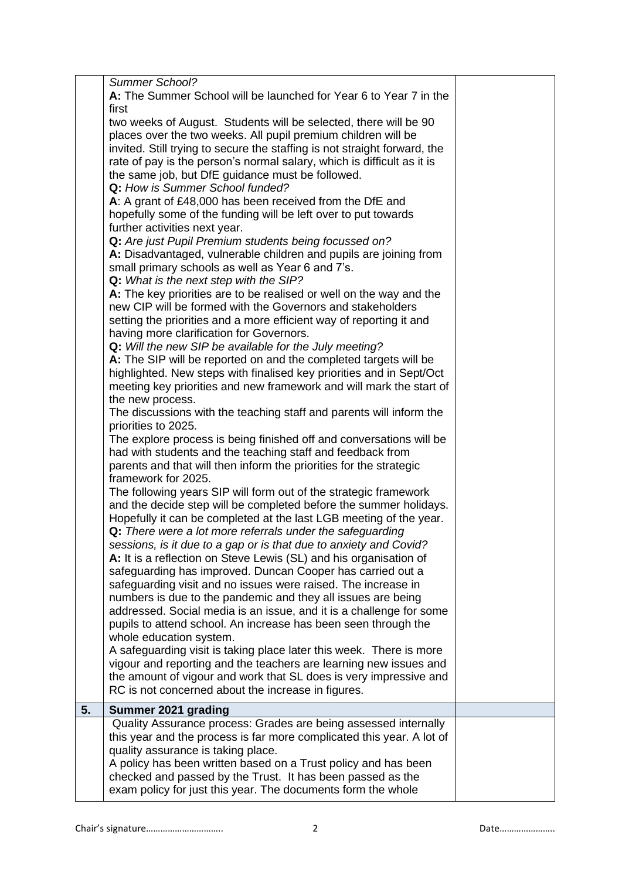|    | Summer School?                                                                                                                    |  |
|----|-----------------------------------------------------------------------------------------------------------------------------------|--|
|    | A: The Summer School will be launched for Year 6 to Year 7 in the                                                                 |  |
|    | first                                                                                                                             |  |
|    | two weeks of August. Students will be selected, there will be 90                                                                  |  |
|    | places over the two weeks. All pupil premium children will be                                                                     |  |
|    | invited. Still trying to secure the staffing is not straight forward, the                                                         |  |
|    | rate of pay is the person's normal salary, which is difficult as it is                                                            |  |
|    | the same job, but DfE guidance must be followed.                                                                                  |  |
|    | Q: How is Summer School funded?                                                                                                   |  |
|    | A: A grant of £48,000 has been received from the DfE and                                                                          |  |
|    | hopefully some of the funding will be left over to put towards                                                                    |  |
|    | further activities next year.                                                                                                     |  |
|    | Q: Are just Pupil Premium students being focussed on?<br>A: Disadvantaged, vulnerable children and pupils are joining from        |  |
|    | small primary schools as well as Year 6 and 7's.                                                                                  |  |
|    | Q: What is the next step with the SIP?                                                                                            |  |
|    | A: The key priorities are to be realised or well on the way and the                                                               |  |
|    | new CIP will be formed with the Governors and stakeholders                                                                        |  |
|    | setting the priorities and a more efficient way of reporting it and                                                               |  |
|    | having more clarification for Governors.                                                                                          |  |
|    | Q: Will the new SIP be available for the July meeting?                                                                            |  |
|    | A: The SIP will be reported on and the completed targets will be                                                                  |  |
|    | highlighted. New steps with finalised key priorities and in Sept/Oct                                                              |  |
|    | meeting key priorities and new framework and will mark the start of                                                               |  |
|    | the new process.                                                                                                                  |  |
|    | The discussions with the teaching staff and parents will inform the                                                               |  |
|    | priorities to 2025.                                                                                                               |  |
|    | The explore process is being finished off and conversations will be<br>had with students and the teaching staff and feedback from |  |
|    | parents and that will then inform the priorities for the strategic                                                                |  |
|    | framework for 2025.                                                                                                               |  |
|    | The following years SIP will form out of the strategic framework                                                                  |  |
|    | and the decide step will be completed before the summer holidays.                                                                 |  |
|    | Hopefully it can be completed at the last LGB meeting of the year.                                                                |  |
|    | Q: There were a lot more referrals under the safeguarding                                                                         |  |
|    | sessions, is it due to a gap or is that due to anxiety and Covid?                                                                 |  |
|    | A: It is a reflection on Steve Lewis (SL) and his organisation of                                                                 |  |
|    | safeguarding has improved. Duncan Cooper has carried out a                                                                        |  |
|    | safeguarding visit and no issues were raised. The increase in                                                                     |  |
|    | numbers is due to the pandemic and they all issues are being                                                                      |  |
|    | addressed. Social media is an issue, and it is a challenge for some                                                               |  |
|    | pupils to attend school. An increase has been seen through the<br>whole education system.                                         |  |
|    | A safeguarding visit is taking place later this week. There is more                                                               |  |
|    | vigour and reporting and the teachers are learning new issues and                                                                 |  |
|    | the amount of vigour and work that SL does is very impressive and                                                                 |  |
|    | RC is not concerned about the increase in figures.                                                                                |  |
| 5. | Summer 2021 grading                                                                                                               |  |
|    | Quality Assurance process: Grades are being assessed internally                                                                   |  |
|    | this year and the process is far more complicated this year. A lot of                                                             |  |
|    | quality assurance is taking place.                                                                                                |  |
|    | A policy has been written based on a Trust policy and has been                                                                    |  |
|    | checked and passed by the Trust. It has been passed as the                                                                        |  |
|    | exam policy for just this year. The documents form the whole                                                                      |  |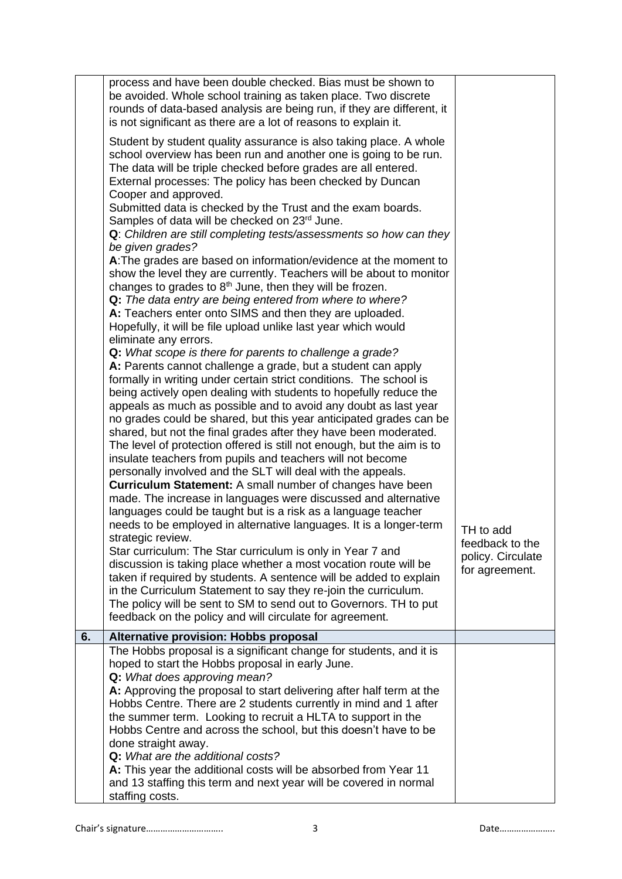|    | process and have been double checked. Bias must be shown to<br>be avoided. Whole school training as taken place. Two discrete<br>rounds of data-based analysis are being run, if they are different, it<br>is not significant as there are a lot of reasons to explain it. |                                                        |
|----|----------------------------------------------------------------------------------------------------------------------------------------------------------------------------------------------------------------------------------------------------------------------------|--------------------------------------------------------|
|    | Student by student quality assurance is also taking place. A whole<br>school overview has been run and another one is going to be run.<br>The data will be triple checked before grades are all entered.<br>External processes: The policy has been checked by Duncan      |                                                        |
|    | Cooper and approved.<br>Submitted data is checked by the Trust and the exam boards.<br>Samples of data will be checked on 23rd June.<br>Q: Children are still completing tests/assessments so how can they                                                                 |                                                        |
|    | be given grades?<br>A: The grades are based on information/evidence at the moment to<br>show the level they are currently. Teachers will be about to monitor                                                                                                               |                                                        |
|    | changes to grades to 8 <sup>th</sup> June, then they will be frozen.<br>Q: The data entry are being entered from where to where?<br>A: Teachers enter onto SIMS and then they are uploaded.                                                                                |                                                        |
|    | Hopefully, it will be file upload unlike last year which would<br>eliminate any errors.                                                                                                                                                                                    |                                                        |
|    | Q: What scope is there for parents to challenge a grade?<br>A: Parents cannot challenge a grade, but a student can apply<br>formally in writing under certain strict conditions. The school is                                                                             |                                                        |
|    | being actively open dealing with students to hopefully reduce the<br>appeals as much as possible and to avoid any doubt as last year<br>no grades could be shared, but this year anticipated grades can be                                                                 |                                                        |
|    | shared, but not the final grades after they have been moderated.<br>The level of protection offered is still not enough, but the aim is to<br>insulate teachers from pupils and teachers will not become                                                                   |                                                        |
|    | personally involved and the SLT will deal with the appeals.<br><b>Curriculum Statement:</b> A small number of changes have been<br>made. The increase in languages were discussed and alternative                                                                          |                                                        |
|    | languages could be taught but is a risk as a language teacher<br>needs to be employed in alternative languages. It is a longer-term<br>strategic review.                                                                                                                   | TH to add                                              |
|    | Star curriculum: The Star curriculum is only in Year 7 and<br>discussion is taking place whether a most vocation route will be<br>taken if required by students. A sentence will be added to explain                                                                       | feedback to the<br>policy. Circulate<br>for agreement. |
|    | in the Curriculum Statement to say they re-join the curriculum.<br>The policy will be sent to SM to send out to Governors. TH to put<br>feedback on the policy and will circulate for agreement.                                                                           |                                                        |
| 6. | Alternative provision: Hobbs proposal                                                                                                                                                                                                                                      |                                                        |
|    | The Hobbs proposal is a significant change for students, and it is                                                                                                                                                                                                         |                                                        |
|    | hoped to start the Hobbs proposal in early June.<br>Q: What does approving mean?                                                                                                                                                                                           |                                                        |
|    | A: Approving the proposal to start delivering after half term at the                                                                                                                                                                                                       |                                                        |
|    | Hobbs Centre. There are 2 students currently in mind and 1 after<br>the summer term. Looking to recruit a HLTA to support in the                                                                                                                                           |                                                        |
|    | Hobbs Centre and across the school, but this doesn't have to be                                                                                                                                                                                                            |                                                        |
|    | done straight away.<br>Q: What are the additional costs?                                                                                                                                                                                                                   |                                                        |
|    | A: This year the additional costs will be absorbed from Year 11                                                                                                                                                                                                            |                                                        |
|    | and 13 staffing this term and next year will be covered in normal<br>staffing costs.                                                                                                                                                                                       |                                                        |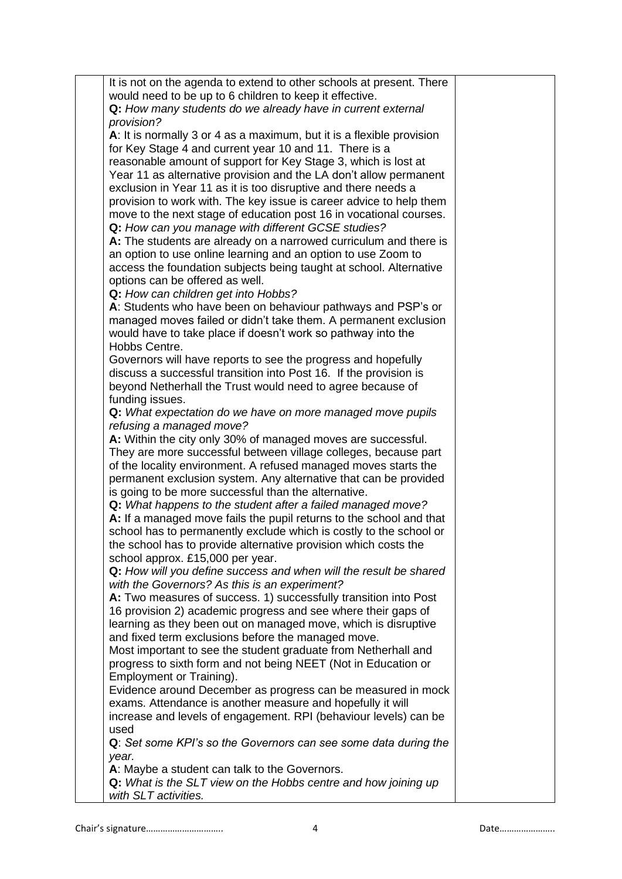| It is not on the agenda to extend to other schools at present. There  |  |
|-----------------------------------------------------------------------|--|
| would need to be up to 6 children to keep it effective.               |  |
| Q: How many students do we already have in current external           |  |
| provision?                                                            |  |
| A: It is normally 3 or 4 as a maximum, but it is a flexible provision |  |
|                                                                       |  |
| for Key Stage 4 and current year 10 and 11. There is a                |  |
| reasonable amount of support for Key Stage 3, which is lost at        |  |
| Year 11 as alternative provision and the LA don't allow permanent     |  |
| exclusion in Year 11 as it is too disruptive and there needs a        |  |
| provision to work with. The key issue is career advice to help them   |  |
| move to the next stage of education post 16 in vocational courses.    |  |
| Q: How can you manage with different GCSE studies?                    |  |
|                                                                       |  |
| A: The students are already on a narrowed curriculum and there is     |  |
| an option to use online learning and an option to use Zoom to         |  |
| access the foundation subjects being taught at school. Alternative    |  |
| options can be offered as well.                                       |  |
| Q: How can children get into Hobbs?                                   |  |
| A: Students who have been on behaviour pathways and PSP's or          |  |
| managed moves failed or didn't take them. A permanent exclusion       |  |
| would have to take place if doesn't work so pathway into the          |  |
|                                                                       |  |
| Hobbs Centre.                                                         |  |
| Governors will have reports to see the progress and hopefully         |  |
| discuss a successful transition into Post 16. If the provision is     |  |
| beyond Netherhall the Trust would need to agree because of            |  |
| funding issues.                                                       |  |
| Q: What expectation do we have on more managed move pupils            |  |
| refusing a managed move?                                              |  |
| A: Within the city only 30% of managed moves are successful.          |  |
| They are more successful between village colleges, because part       |  |
|                                                                       |  |
| of the locality environment. A refused managed moves starts the       |  |
| permanent exclusion system. Any alternative that can be provided      |  |
| is going to be more successful than the alternative.                  |  |
| Q: What happens to the student after a failed managed move?           |  |
| A: If a managed move fails the pupil returns to the school and that   |  |
| school has to permanently exclude which is costly to the school or    |  |
| the school has to provide alternative provision which costs the       |  |
| school approx. £15,000 per year.                                      |  |
|                                                                       |  |
| Q: How will you define success and when will the result be shared     |  |
| with the Governors? As this is an experiment?                         |  |
| A: Two measures of success. 1) successfully transition into Post      |  |
| 16 provision 2) academic progress and see where their gaps of         |  |
| learning as they been out on managed move, which is disruptive        |  |
| and fixed term exclusions before the managed move.                    |  |
| Most important to see the student graduate from Netherhall and        |  |
| progress to sixth form and not being NEET (Not in Education or        |  |
| Employment or Training).                                              |  |
| Evidence around December as progress can be measured in mock          |  |
|                                                                       |  |
| exams. Attendance is another measure and hopefully it will            |  |
| increase and levels of engagement. RPI (behaviour levels) can be      |  |
| used                                                                  |  |
| Q: Set some KPI's so the Governors can see some data during the       |  |
| year.                                                                 |  |
| A: Maybe a student can talk to the Governors.                         |  |
| Q: What is the SLT view on the Hobbs centre and how joining up        |  |
| with SLT activities.                                                  |  |
|                                                                       |  |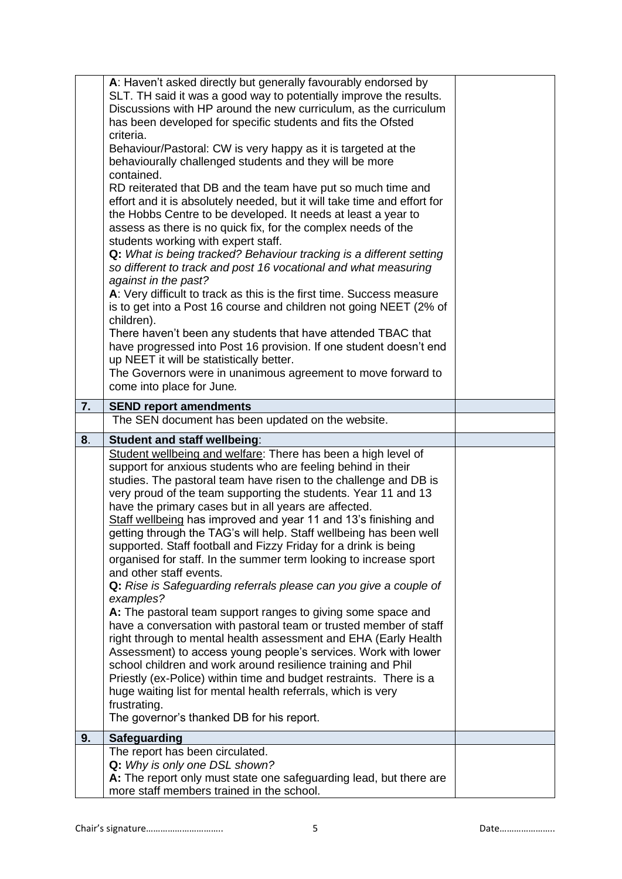|    | A: Haven't asked directly but generally favourably endorsed by<br>SLT. TH said it was a good way to potentially improve the results.<br>Discussions with HP around the new curriculum, as the curriculum<br>has been developed for specific students and fits the Ofsted<br>criteria.<br>Behaviour/Pastoral: CW is very happy as it is targeted at the<br>behaviourally challenged students and they will be more<br>contained.<br>RD reiterated that DB and the team have put so much time and<br>effort and it is absolutely needed, but it will take time and effort for<br>the Hobbs Centre to be developed. It needs at least a year to<br>assess as there is no quick fix, for the complex needs of the<br>students working with expert staff.<br>Q: What is being tracked? Behaviour tracking is a different setting<br>so different to track and post 16 vocational and what measuring<br>against in the past?<br>A: Very difficult to track as this is the first time. Success measure<br>is to get into a Post 16 course and children not going NEET (2% of<br>children).<br>There haven't been any students that have attended TBAC that<br>have progressed into Post 16 provision. If one student doesn't end<br>up NEET it will be statistically better.<br>The Governors were in unanimous agreement to move forward to<br>come into place for June. |  |
|----|--------------------------------------------------------------------------------------------------------------------------------------------------------------------------------------------------------------------------------------------------------------------------------------------------------------------------------------------------------------------------------------------------------------------------------------------------------------------------------------------------------------------------------------------------------------------------------------------------------------------------------------------------------------------------------------------------------------------------------------------------------------------------------------------------------------------------------------------------------------------------------------------------------------------------------------------------------------------------------------------------------------------------------------------------------------------------------------------------------------------------------------------------------------------------------------------------------------------------------------------------------------------------------------------------------------------------------------------------------------------|--|
|    |                                                                                                                                                                                                                                                                                                                                                                                                                                                                                                                                                                                                                                                                                                                                                                                                                                                                                                                                                                                                                                                                                                                                                                                                                                                                                                                                                                    |  |
| 7. | <b>SEND report amendments</b><br>The SEN document has been updated on the website.                                                                                                                                                                                                                                                                                                                                                                                                                                                                                                                                                                                                                                                                                                                                                                                                                                                                                                                                                                                                                                                                                                                                                                                                                                                                                 |  |
|    |                                                                                                                                                                                                                                                                                                                                                                                                                                                                                                                                                                                                                                                                                                                                                                                                                                                                                                                                                                                                                                                                                                                                                                                                                                                                                                                                                                    |  |
| 8. | <b>Student and staff wellbeing:</b><br>Student wellbeing and welfare: There has been a high level of                                                                                                                                                                                                                                                                                                                                                                                                                                                                                                                                                                                                                                                                                                                                                                                                                                                                                                                                                                                                                                                                                                                                                                                                                                                               |  |
|    | support for anxious students who are feeling behind in their<br>studies. The pastoral team have risen to the challenge and DB is<br>very proud of the team supporting the students. Year 11 and 13<br>have the primary cases but in all years are affected.<br>Staff wellbeing has improved and year 11 and 13's finishing and<br>getting through the TAG's will help. Staff wellbeing has been well<br>supported. Staff football and Fizzy Friday for a drink is being<br>organised for staff. In the summer term looking to increase sport<br>and other staff events.<br>Q: Rise is Safeguarding referrals please can you give a couple of<br>examples?<br>A: The pastoral team support ranges to giving some space and<br>have a conversation with pastoral team or trusted member of staff<br>right through to mental health assessment and EHA (Early Health<br>Assessment) to access young people's services. Work with lower<br>school children and work around resilience training and Phil<br>Priestly (ex-Police) within time and budget restraints. There is a<br>huge waiting list for mental health referrals, which is very<br>frustrating.<br>The governor's thanked DB for his report.                                                                                                                                                             |  |
|    |                                                                                                                                                                                                                                                                                                                                                                                                                                                                                                                                                                                                                                                                                                                                                                                                                                                                                                                                                                                                                                                                                                                                                                                                                                                                                                                                                                    |  |
| 9. | <b>Safeguarding</b><br>The report has been circulated.                                                                                                                                                                                                                                                                                                                                                                                                                                                                                                                                                                                                                                                                                                                                                                                                                                                                                                                                                                                                                                                                                                                                                                                                                                                                                                             |  |
|    | Q: Why is only one DSL shown?<br>A: The report only must state one safeguarding lead, but there are<br>more staff members trained in the school.                                                                                                                                                                                                                                                                                                                                                                                                                                                                                                                                                                                                                                                                                                                                                                                                                                                                                                                                                                                                                                                                                                                                                                                                                   |  |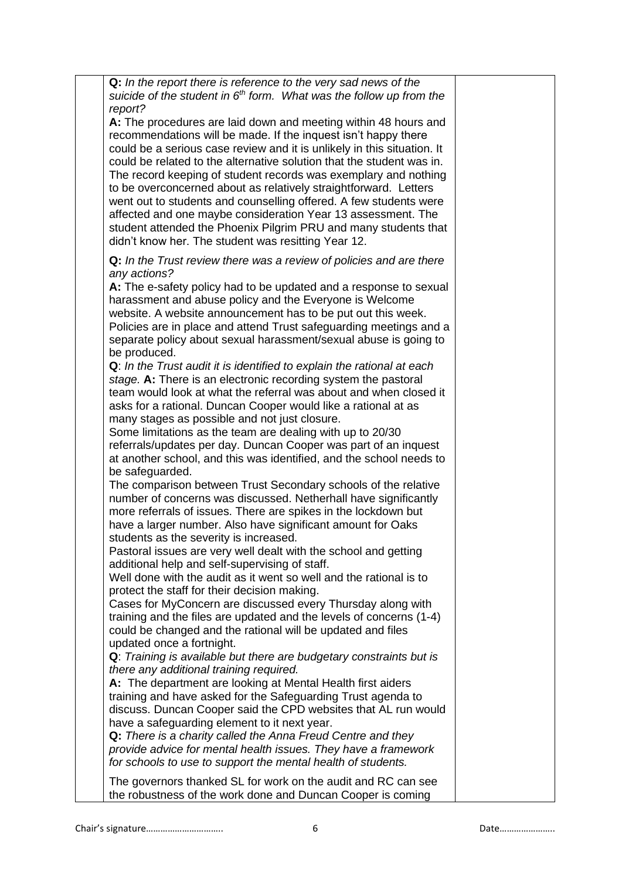| Q: In the report there is reference to the very sad news of the                                                                       |  |
|---------------------------------------------------------------------------------------------------------------------------------------|--|
| suicide of the student in $6th$ form. What was the follow up from the<br>report?                                                      |  |
| A: The procedures are laid down and meeting within 48 hours and                                                                       |  |
| recommendations will be made. If the inquest isn't happy there                                                                        |  |
| could be a serious case review and it is unlikely in this situation. It                                                               |  |
| could be related to the alternative solution that the student was in.                                                                 |  |
| The record keeping of student records was exemplary and nothing                                                                       |  |
| to be overconcerned about as relatively straightforward. Letters<br>went out to students and counselling offered. A few students were |  |
| affected and one maybe consideration Year 13 assessment. The                                                                          |  |
| student attended the Phoenix Pilgrim PRU and many students that                                                                       |  |
| didn't know her. The student was resitting Year 12.                                                                                   |  |
| Q: In the Trust review there was a review of policies and are there                                                                   |  |
| any actions?                                                                                                                          |  |
| A: The e-safety policy had to be updated and a response to sexual                                                                     |  |
| harassment and abuse policy and the Everyone is Welcome                                                                               |  |
| website. A website announcement has to be put out this week.                                                                          |  |
| Policies are in place and attend Trust safeguarding meetings and a                                                                    |  |
| separate policy about sexual harassment/sexual abuse is going to                                                                      |  |
| be produced.<br>Q: In the Trust audit it is identified to explain the rational at each                                                |  |
| stage. A: There is an electronic recording system the pastoral                                                                        |  |
| team would look at what the referral was about and when closed it                                                                     |  |
| asks for a rational. Duncan Cooper would like a rational at as                                                                        |  |
| many stages as possible and not just closure.                                                                                         |  |
| Some limitations as the team are dealing with up to 20/30                                                                             |  |
| referrals/updates per day. Duncan Cooper was part of an inquest                                                                       |  |
| at another school, and this was identified, and the school needs to                                                                   |  |
| be safeguarded.<br>The comparison between Trust Secondary schools of the relative                                                     |  |
| number of concerns was discussed. Netherhall have significantly                                                                       |  |
| more referrals of issues. There are spikes in the lockdown but                                                                        |  |
| have a larger number. Also have significant amount for Oaks                                                                           |  |
| students as the severity is increased.                                                                                                |  |
| Pastoral issues are very well dealt with the school and getting                                                                       |  |
| additional help and self-supervising of staff.                                                                                        |  |
| Well done with the audit as it went so well and the rational is to<br>protect the staff for their decision making.                    |  |
| Cases for MyConcern are discussed every Thursday along with                                                                           |  |
| training and the files are updated and the levels of concerns (1-4)                                                                   |  |
| could be changed and the rational will be updated and files                                                                           |  |
| updated once a fortnight.                                                                                                             |  |
| Q: Training is available but there are budgetary constraints but is                                                                   |  |
| there any additional training required.                                                                                               |  |
| A: The department are looking at Mental Health first aiders                                                                           |  |
| training and have asked for the Safeguarding Trust agenda to<br>discuss. Duncan Cooper said the CPD websites that AL run would        |  |
| have a safeguarding element to it next year.                                                                                          |  |
| Q: There is a charity called the Anna Freud Centre and they                                                                           |  |
| provide advice for mental health issues. They have a framework                                                                        |  |
| for schools to use to support the mental health of students.                                                                          |  |
| The governors thanked SL for work on the audit and RC can see                                                                         |  |
| the robustness of the work done and Duncan Cooper is coming                                                                           |  |

Chair's signature………………………….. 6 Date…………………..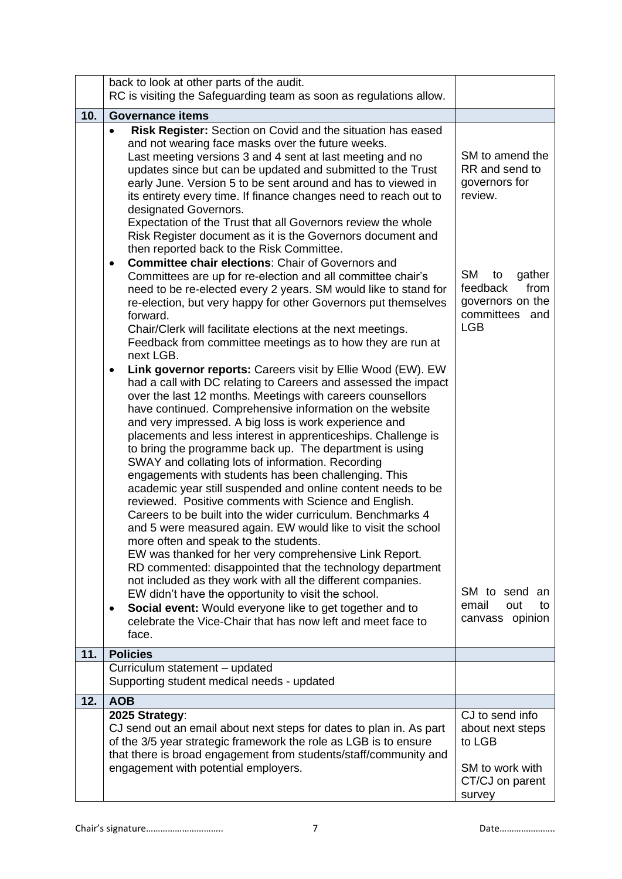|     | back to look at other parts of the audit.                                                                                                                                                                                                                                                                                                                                                                                                                                                                                                                                                                                                                                                                                                                                                                                                                                                                                                                                                                                                                                                                                                                                                                                                                                                                                                                                                                                                                                                                                                                                                                                                                                                                                                                                                                                                                                                                                                                                                                                                                                        |                                                                                                                                                                       |
|-----|----------------------------------------------------------------------------------------------------------------------------------------------------------------------------------------------------------------------------------------------------------------------------------------------------------------------------------------------------------------------------------------------------------------------------------------------------------------------------------------------------------------------------------------------------------------------------------------------------------------------------------------------------------------------------------------------------------------------------------------------------------------------------------------------------------------------------------------------------------------------------------------------------------------------------------------------------------------------------------------------------------------------------------------------------------------------------------------------------------------------------------------------------------------------------------------------------------------------------------------------------------------------------------------------------------------------------------------------------------------------------------------------------------------------------------------------------------------------------------------------------------------------------------------------------------------------------------------------------------------------------------------------------------------------------------------------------------------------------------------------------------------------------------------------------------------------------------------------------------------------------------------------------------------------------------------------------------------------------------------------------------------------------------------------------------------------------------|-----------------------------------------------------------------------------------------------------------------------------------------------------------------------|
|     | RC is visiting the Safeguarding team as soon as regulations allow.                                                                                                                                                                                                                                                                                                                                                                                                                                                                                                                                                                                                                                                                                                                                                                                                                                                                                                                                                                                                                                                                                                                                                                                                                                                                                                                                                                                                                                                                                                                                                                                                                                                                                                                                                                                                                                                                                                                                                                                                               |                                                                                                                                                                       |
|     | <b>Governance items</b>                                                                                                                                                                                                                                                                                                                                                                                                                                                                                                                                                                                                                                                                                                                                                                                                                                                                                                                                                                                                                                                                                                                                                                                                                                                                                                                                                                                                                                                                                                                                                                                                                                                                                                                                                                                                                                                                                                                                                                                                                                                          |                                                                                                                                                                       |
| 10. | Risk Register: Section on Covid and the situation has eased<br>$\bullet$<br>and not wearing face masks over the future weeks.<br>Last meeting versions 3 and 4 sent at last meeting and no<br>updates since but can be updated and submitted to the Trust<br>early June. Version 5 to be sent around and has to viewed in<br>its entirety every time. If finance changes need to reach out to<br>designated Governors.<br>Expectation of the Trust that all Governors review the whole<br>Risk Register document as it is the Governors document and<br>then reported back to the Risk Committee.<br><b>Committee chair elections: Chair of Governors and</b><br>Committees are up for re-election and all committee chair's<br>need to be re-elected every 2 years. SM would like to stand for<br>re-election, but very happy for other Governors put themselves<br>forward.<br>Chair/Clerk will facilitate elections at the next meetings.<br>Feedback from committee meetings as to how they are run at<br>next LGB.<br>Link governor reports: Careers visit by Ellie Wood (EW). EW<br>٠<br>had a call with DC relating to Careers and assessed the impact<br>over the last 12 months. Meetings with careers counsellors<br>have continued. Comprehensive information on the website<br>and very impressed. A big loss is work experience and<br>placements and less interest in apprenticeships. Challenge is<br>to bring the programme back up. The department is using<br>SWAY and collating lots of information. Recording<br>engagements with students has been challenging. This<br>academic year still suspended and online content needs to be<br>reviewed. Positive comments with Science and English.<br>Careers to be built into the wider curriculum. Benchmarks 4<br>and 5 were measured again. EW would like to visit the school<br>more often and speak to the students.<br>EW was thanked for her very comprehensive Link Report.<br>RD commented: disappointed that the technology department<br>not included as they work with all the different companies. | SM to amend the<br>RR and send to<br>governors for<br>review.<br><b>SM</b><br>gather<br>to<br>feedback<br>from<br>governors on the<br>committees<br>and<br><b>LGB</b> |
|     | EW didn't have the opportunity to visit the school.<br>Social event: Would everyone like to get together and to<br>celebrate the Vice-Chair that has now left and meet face to<br>face.                                                                                                                                                                                                                                                                                                                                                                                                                                                                                                                                                                                                                                                                                                                                                                                                                                                                                                                                                                                                                                                                                                                                                                                                                                                                                                                                                                                                                                                                                                                                                                                                                                                                                                                                                                                                                                                                                          | SM to send an<br>email<br>out<br>to<br>canvass opinion                                                                                                                |
| 11. | <b>Policies</b>                                                                                                                                                                                                                                                                                                                                                                                                                                                                                                                                                                                                                                                                                                                                                                                                                                                                                                                                                                                                                                                                                                                                                                                                                                                                                                                                                                                                                                                                                                                                                                                                                                                                                                                                                                                                                                                                                                                                                                                                                                                                  |                                                                                                                                                                       |
|     | Curriculum statement - updated                                                                                                                                                                                                                                                                                                                                                                                                                                                                                                                                                                                                                                                                                                                                                                                                                                                                                                                                                                                                                                                                                                                                                                                                                                                                                                                                                                                                                                                                                                                                                                                                                                                                                                                                                                                                                                                                                                                                                                                                                                                   |                                                                                                                                                                       |
|     | Supporting student medical needs - updated                                                                                                                                                                                                                                                                                                                                                                                                                                                                                                                                                                                                                                                                                                                                                                                                                                                                                                                                                                                                                                                                                                                                                                                                                                                                                                                                                                                                                                                                                                                                                                                                                                                                                                                                                                                                                                                                                                                                                                                                                                       |                                                                                                                                                                       |
| 12. | <b>AOB</b>                                                                                                                                                                                                                                                                                                                                                                                                                                                                                                                                                                                                                                                                                                                                                                                                                                                                                                                                                                                                                                                                                                                                                                                                                                                                                                                                                                                                                                                                                                                                                                                                                                                                                                                                                                                                                                                                                                                                                                                                                                                                       |                                                                                                                                                                       |
|     | 2025 Strategy:<br>CJ send out an email about next steps for dates to plan in. As part<br>of the 3/5 year strategic framework the role as LGB is to ensure<br>that there is broad engagement from students/staff/community and<br>engagement with potential employers.                                                                                                                                                                                                                                                                                                                                                                                                                                                                                                                                                                                                                                                                                                                                                                                                                                                                                                                                                                                                                                                                                                                                                                                                                                                                                                                                                                                                                                                                                                                                                                                                                                                                                                                                                                                                            | CJ to send info<br>about next steps<br>to LGB<br>SM to work with                                                                                                      |
|     |                                                                                                                                                                                                                                                                                                                                                                                                                                                                                                                                                                                                                                                                                                                                                                                                                                                                                                                                                                                                                                                                                                                                                                                                                                                                                                                                                                                                                                                                                                                                                                                                                                                                                                                                                                                                                                                                                                                                                                                                                                                                                  | CT/CJ on parent<br>survey                                                                                                                                             |